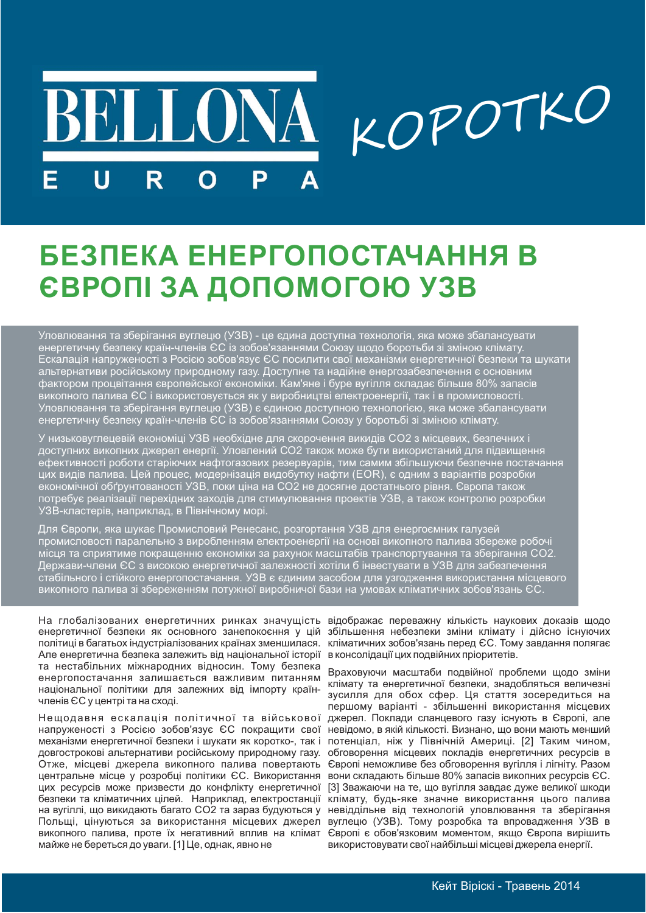# KOPOTKO **BELLONA** D R

## БЕЗПЕКА ЕНЕРГОПОСТАЧАННЯ В **ЄВРОПІ ЗА ДОПОМОГОЮ УЗВ**

Уловлювання та зберігання вуглецю (УЗВ) - це єдина доступна технологія, яка може збалансувати<br>енергетичну безпеку країн-членів ЄС із зобов'язаннями Союзу щодо боротьби зі зміною клімату.<br>Ескалація напруженості з Росією зо викопного палива ЄС і використовується як у виробництві електроенергії, так і в промисловості. Уловлювання та зберігання вуглецю (УЗВ) є єдиною доступною технологією, яка може збалансувати<br>енергетичну безпеку країн-членів ЄС із зобов'язаннями Союзу у боротьбі зі зміною клімату.

У низьковуглецевій економіці УЗВ необхідне для скорочення викидів СО2 з місцевих, безпечних і и соступних викопних джерел енергії. Уловлений СО2 також може бути використаний для підвищення ефективності роботи старіючих нафтогазових резервуарів, тим самим збільшуючи безпечне постачання цих видів палива. Цей процес,

Для Європи, яка шукає Промисловий Ренесанс, розгортання УЗВ для енергоємних галузей для свропи, яка шукає промисловии генесанс, розгортання у зо для енертоємних галузеи<br>промисловості паралельно з виробленням електроенергії на основі викопного палива збереже робочі<br>місця та сприятиме покращенню економіки

На глобалізованих енергетичних ринках значущість відображає переважну кількість наукових доказів щодо енергетичної безпеки як основного занепокоєння у цій політиці в багатьох індустріалізованих країнах зменшилася. Але енергетична безпека залежить від національної історії в консолідації цих подвійних пріоритетів. та нестабільних міжнародних відносин. Тому безпека енергопостачання залишається важливим питанням національної політики для залежних від імпорту країнчленів ЄС у центрі та на сході.

Нещодавня ескалація політичної та військової напруженості з Росією зобов'язує ЄС покращити свої механізми енергетичної безпеки і шукати як коротко-, так і потенціал, ніж у Північній Америці. [2] Таким чином, довгострокові альтернативи російському природному газу. обговорення місцевих покладів енергетичних ресурсів в Отже, місцеві джерела викопного палива повертають центральне місце у розробці політики ЄС. Використання цих ресурсів може призвести до конфлікту енергетичної безпеки та кліматичних цілей. Наприклад, електростанції на вугіллі, що викидають багато СО2 та зараз будуються у Польщі, цінуються за використання місцевих джерел викопного палива, проте їх негативний вплив на клімат майже не береться до уваги. [1] Це, однак, явно не

збільшення небезпеки зміни клімату і дійсно існуючих кліматичних зобов'язань перед ЄС. Тому завдання полягає

Враховуючи масштаби подвійної проблеми щодо зміни клімату та енергетичної безпеки, знадобляться величезні зусилля для обох сфер. Ця стаття зосередиться на першому варіанті - збільшенні використання місцевих джерел. Поклади сланцевого газу існують в Європі, але невідомо, в якій кількості. Визнано, що вони мають менший Європі неможливе без обговорення вугілля і лігніту. Разом вони складають більше 80% запасів викопних ресурсів ЄС. [3] Зважаючи на те, що вугілля завдає дуже великої шкоди клімату, будь-яке значне використання цього палива невіддільне від технологій уловлювання та зберігання вуглецю (УЗВ). Тому розробка та впровадження УЗВ в Європі є обов'язковим моментом, якщо Європа вирішить використовувати свої найбільші місцеві джерела енергії.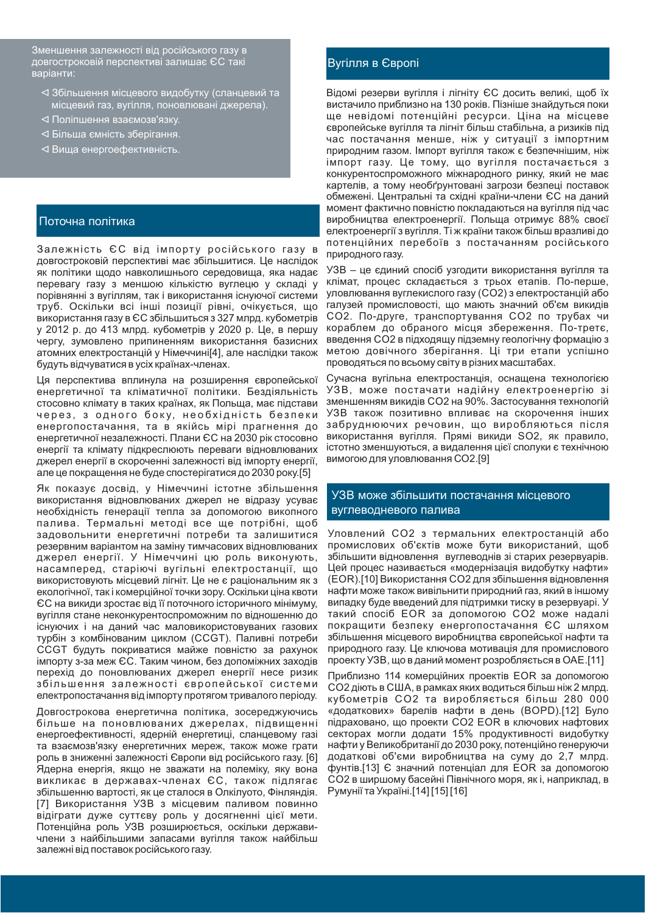Зменшення залежності від російського газу в довгостроковій перспективі залишає ЄС такі варіанти:

- ⊲ Збільшення місцевого видобутку (сланцевий та місцевий газ, вугілля, поновлювані джерела).
- ⊲ Поліпшення взаємозв'язку.
- ⊲ Більша ємність зберігання.
- ⊲ Виша енергоефективність.

#### Поточна політика

Залежність ЄС від імпорту російського газу в довгостроковій перспективі має збільшитися. Це наслідок як політики щодо навколишнього середовища, яка надає перевагу газу з меншою кількістю вуглецю у складі у порівнянні з вугіллям, так і використання існуючої системи труб. Оскільки всі інші позиції рівні, очікується, що використання газу в ЄС збільшиться з 327 млрд. кубометрів у 2012 р. до 413 млрд. кубометрів у 2020 р. Це, в першу чергу, зумовлено припиненням використання базисних атомних електростанцій у Німеччині 41. але наслідки також будуть відчуватися в усіх країнах-членах.

Ця перспектива вплинула на розширення європейської енергетичної та кліматичної політики. Бездіяльність стосовно клімату в таких країнах, як Польща, має підстави через, з одного боку, необхідність безпеки енергопостачання, та в якійсь мірі прагнення до енергетичної незалежності. Плани ЄС на 2030 рік стосовно енергії та клімату підкреслюють переваги відновлюваних джерел енергії в скороченні залежності від імпорту енергії, але це покращення не буде спостерігатися до 2030 року.[5]

Як показує досвід, у Німеччині істотне збільшення використання відновлюваних джерел не відразу усуває необхідність генерації тепла за допомогою викопного палива. Термальні методі все ще потрібні, щоб задовольнити енергетичні потреби та залишитися резервним варіантом на заміну тимчасових відновлюваних джерел енергії. У Німеччині цю роль виконують, насамперед, старіючі вугільні електростанції, що використовують місцевий лігніт. Це не є раціональним як з екологічної, так і комерційної точки зору. Оскільки ціна квоти ЄС на викиди зростає від її поточного історичного мінімуму, вугілля стане неконкурентоспроможним по відношенню до існуючих і на даний час маловикористовуваних газових турбін з комбінованим циклом (ССGT). Паливні потреби ССGT будуть покриватися майже повністю за рахунок імпорту з-за меж ЄС. Таким чином, без допоміжних заходів перехід до поновлюваних джерел енергії несе ризик збільшення залежності європейської системи електропостачання від імпорту протягом тривалого періоду.

Довгострокова енергетична політика, зосереджуючись більше на поновлюваних джерелах, підвищенні енергоефективності, ядерній енергетиці, сланцевому газі та взаємозв'язку енергетичних мереж, також може грати роль в зниженні залежності Європи від російського газу. [6] Ядерна енергія, якщо не зважати на полеміку, яку вона викликає в державах-членах ЄС, також підлягає збільшенню вартості, як це сталося в Олкілуото, Фінляндія. [7] Використання УЗВ з місцевим паливом повинно відіграти дуже суттєву роль у досягненні цієї мети. Потенційна роль УЗВ розширюється, оскільки державичлени з найбільшими запасами вугілля також найбільш залежні від поставок російського газу.

#### Вугілля в Європі

Відомі резерви вугілля і лігніту ЄС досить великі, щоб їх вистачило приблизно на 130 років. Пізніше знайдуться поки ще невідомі потенційні ресурси. Ціна на місцеве європейське вугілля та лігніт більш стабільна, а ризиків під час постачання менше, ніж у ситуації з імпортним природним газом. Імпорт вугілля також є безпечнішим, ніж імпорт газу. Це тому, що вугілля постачається з конкурентоспроможного міжнародного ринку, який не має картелів, а тому необґрунтовані загрози безпеці поставок обмежені. Центральні та східні країни-члени ЄС на даний момент фактично повністю покладаються на вугілля під час виробництва електроенергії. Польща отримує 88% своєї електроенергії з вугілля. Ті ж країни також більш вразливі до потенційних перебоїв з постачанням російського природного газу.

УЗВ - це єдиний спосіб узгодити використання вугілля та клімат, процес складається з трьох етапів. По-перше, уловлювання вуглекислого газу (СО2) з електростанцій або галузей промисловості, що мають значний об'єм викидів СО2. По-друге, транспортування СО2 по трубах чи кораблем до обраного місця збереження. По-третє, введення СО2 в підходящу підземну геологічну формацію з метою довічного зберігання. Ці три етапи успішно проводяться по всьому світу в різних масштабах.

Сучасна вугільна електростанція, оснащена технологією УЗВ, може постачати надійну електроенергію зі зменшенням викидів СО2 на 90%. Застосування технологій УЗВ також позитивно впливає на скорочення інших забруднюючих речовин, що виробляються після використання вугілля. Прямі викиди SO2, як правило, істотно зменшуються, а видалення цієї сполуки є технічною вимогою для уловлювання СО2.[9]

### УЗВ може збільшити постачання місцевого вуглеводневого палива

Уловлений СО2 з термальних електростанцій або промислових об'єктів може бути використаний, щоб збільшити відновлення вуглеводнів зі старих резервуарів. Цей процес називається «модернізація видобутку нафти» (EOR).[10] Використання СО2 для збільшення відновлення нафти може також вивільнити природний газ, який в іншому випадку буде введений для підтримки тиску в резервуарі. У такий спосіб EOR за допомогою СО2 може надалі покращити безпеку енергопостачання ЄС шляхом збільшення місцевого виробництва європейської нафти та природного газу. Це ключова мотивація для промислового проекту УЗВ, що в даний момент розробляється в ОАЕ. [11]

Приблизно 114 комерційних проектів EOR за допомогою СО2 діють в США, в рамках яких водиться більш ніж 2 млрд. кубометрів СО2 та виробляється більш 280 000 «додаткових» барелів нафти в день (BOPD).[12] Було підраховано, що проекти CO2 EOR в ключових нафтових секторах могли додати 15% продуктивності видобутку нафти у Великобританії до 2030 року, потенційно генеруючи додаткові об'єми виробництва на суму до 2,7 млрд. фунтів.[13] Є значний потенціал для EOR за допомогою СО2 в ширшому басейні Північного моря, як і, наприклад, в Румунії та Україні. [14] [15] [16]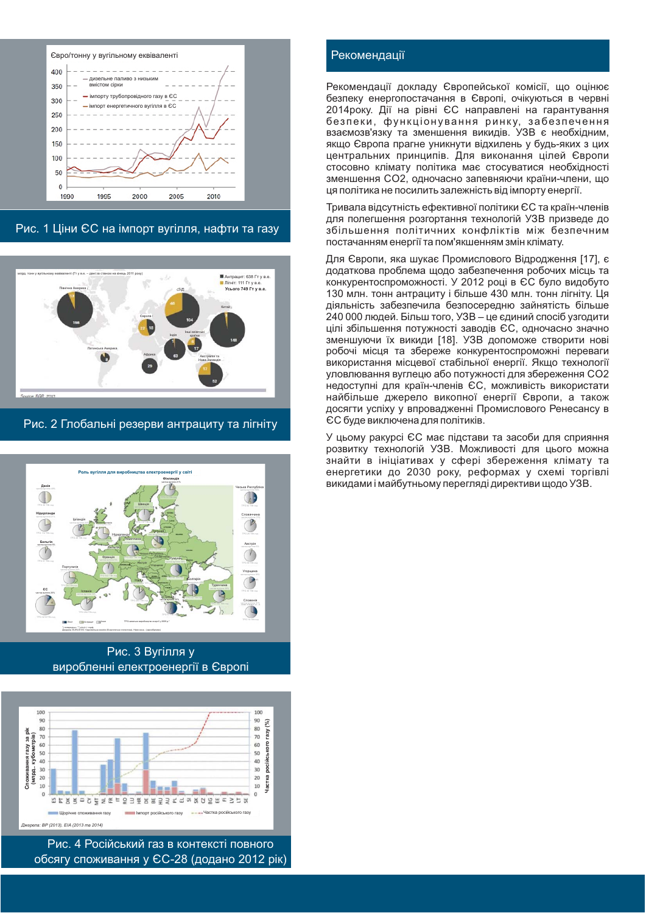

Рис. 1 Ціни ЄС на імпорт вугілля, нафти та газу



Рис. 2 Глобальні резерви антрациту та лігніту



Рис. 3 Вугілля у виробленні електроенергії в Європі



Рис. 4 Російський газ в контексті повного обсягу споживання у ЄС-28 (додано 2012 рік)

### Рекомендації

Рекомендації докладу Європейської комісії, що оцінює безпеку енергопостачання в Європі, очікуються в червні 2014року. Дії на рівні ЄС направлені на гарантування безпеки, функціонування ринку, забезпечення взаємозв'язку та зменшення викидів. УЗВ є необхідним, якщо Європа прагне уникнути відхилень у будь-яких з цих центральних принципів. Для виконання цілей Європи стосовно клімату політика має стосуватися необхідності зменшення СО2, одночасно запевняючи країни-члени, що ця політика не посилить залежність від імпорту енергії.

Тривала відсутність ефективної політики ЄС та країн-членів для полегшення розгортання технологій УЗВ призведе до збільшення політичних конфліктів між безпечним постачанням енергії та пом'якшенням змін клімату.

Для Європи, яка шукає Промислового Відродження [17], є додаткова проблема шодо забезпечення робочих місць та конкурентоспроможності. У 2012 році в ЄС було видобуто 130 млн. тонн антрациту і більше 430 млн. тонн лігніту. Ця діяльність забезпечила безпосередню зайнятість більше 240 000 людей. Більш того, УЗВ - це єдиний спосіб узгодити цілі збільшення потужності заводів ЄС, одночасно значно зменшуючи їх викиди [18]. УЗВ допоможе створити нові робочі місця та збереже конкурентоспроможні переваги використання місцевої стабільної енергії. Якщо технології уловлювання вуглецю або потужності для збереження СО2 недоступні для країн-членів ЄС, можливість використати найбільше джерело викопної енергії Європи, а також досягти успіху у впровадженні Промислового Ренесансу в ЄС буде виключена для політиків.

У цьому ракурсі ЄС має підстави та засоби для сприяння розвитку технологій УЗВ. Можливості для цього можна знайти в ініціативах у сфері збереження клімату та енергетики до 2030 року, реформах у схемі торгівлі викидами і майбутньому перегляді директиви щодо УЗВ.